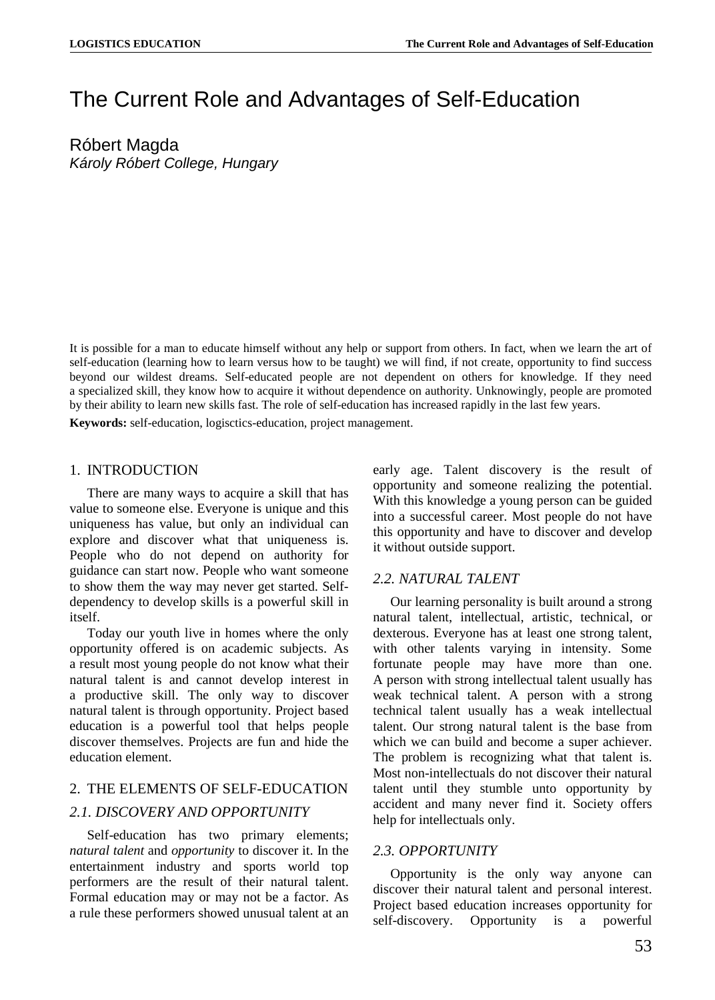# The Current Role and Advantages of Self-Education

Róbert Magda *Károly Róbert College, Hungary*

It is possible for a man to educate himself without any help or support from others. In fact, when we learn the art of self-education (learning how to learn versus how to be taught) we will find, if not create, opportunity to find success beyond our wildest dreams. Self-educated people are not dependent on others for knowledge. If they need a specialized skill, they know how to acquire it without dependence on authority. Unknowingly, people are promoted by their ability to learn new skills fast. The role of self-education has increased rapidly in the last few years.

**Keywords:** self-education, logisctics-education, project management.

#### 1. INTRODUCTION

There are many ways to acquire a skill that has value to someone else. Everyone is unique and this uniqueness has value, but only an individual can explore and discover what that uniqueness is. People who do not depend on authority for guidance can start now. People who want someone to show them the way may never get started. Selfdependency to develop skills is a powerful skill in itself.

Today our youth live in homes where the only opportunity offered is on academic subjects. As a result most young people do not know what their natural talent is and cannot develop interest in a productive skill. The only way to discover natural talent is through opportunity. Project based education is a powerful tool that helps people discover themselves. Projects are fun and hide the education element.

## 2. THE ELEMENTS OF SELF-EDUCATION *2.1. DISCOVERY AND OPPORTUNITY*

Self-education has two primary elements; *natural talent* and *opportunity* to discover it. In the entertainment industry and sports world top performers are the result of their natural talent. Formal education may or may not be a factor. As a rule these performers showed unusual talent at an early age. Talent discovery is the result of opportunity and someone realizing the potential. With this knowledge a young person can be guided into a successful career. Most people do not have this opportunity and have to discover and develop it without outside support.

#### *2.2. NATURAL TALENT*

Our learning personality is built around a strong natural talent, intellectual, artistic, technical, or dexterous. Everyone has at least one strong talent, with other talents varying in intensity. Some fortunate people may have more than one. A person with strong intellectual talent usually has weak technical talent. A person with a strong technical talent usually has a weak intellectual talent. Our strong natural talent is the base from which we can build and become a super achiever. The problem is recognizing what that talent is. Most non-intellectuals do not discover their natural talent until they stumble unto opportunity by accident and many never find it. Society offers help for intellectuals only.

#### *2.3. OPPORTUNITY*

Opportunity is the only way anyone can discover their natural talent and personal interest. Project based education increases opportunity for self-discovery. Opportunity is a powerful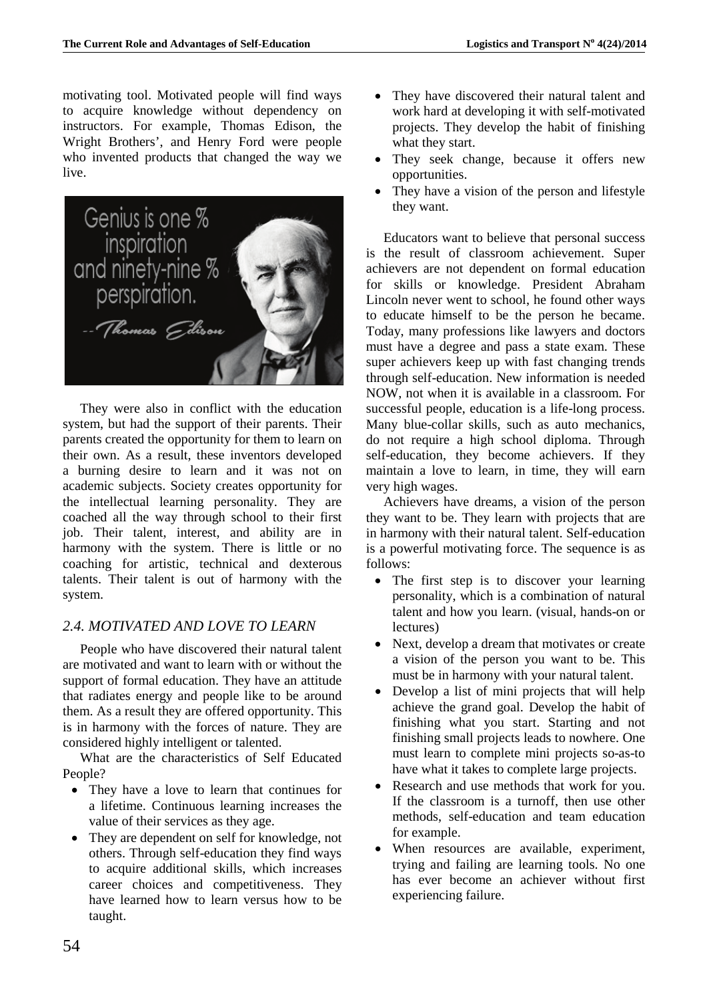motivating tool. Motivated people will find ways to acquire knowledge without dependency on instructors. For example, Thomas Edison, the Wright Brothers', and Henry Ford were people who invented products that changed the way we live.



They were also in conflict with the education system, but had the support of their parents. Their parents created the opportunity for them to learn on their own. As a result, these inventors developed a burning desire to learn and it was not on academic subjects. Society creates opportunity for the intellectual learning personality. They are coached all the way through school to their first job. Their talent, interest, and ability are in harmony with the system. There is little or no coaching for artistic, technical and dexterous talents. Their talent is out of harmony with the system.

## *2.4. MOTIVATED AND LOVE TO LEARN*

People who have discovered their natural talent are motivated and want to learn with or without the support of formal education. They have an attitude that radiates energy and people like to be around them. As a result they are offered opportunity. This is in harmony with the forces of nature. They are considered highly intelligent or talented.

What are the characteristics of Self Educated People?

- They have a love to learn that continues for a lifetime. Continuous learning increases the value of their services as they age.
- They are dependent on self for knowledge, not others. Through self-education they find ways to acquire additional skills, which increases career choices and competitiveness. They have learned how to learn versus how to be taught.
- They have discovered their natural talent and work hard at developing it with self-motivated projects. They develop the habit of finishing what they start.
- They seek change, because it offers new opportunities.
- They have a vision of the person and lifestyle they want.

Educators want to believe that personal success is the result of classroom achievement. Super achievers are not dependent on formal education for skills or knowledge. President Abraham Lincoln never went to school, he found other ways to educate himself to be the person he became. Today, many professions like lawyers and doctors must have a degree and pass a state exam. These super achievers keep up with fast changing trends through self-education. New information is needed NOW, not when it is available in a classroom. For successful people, education is a life-long process. Many blue-collar skills, such as auto mechanics, do not require a high school diploma. Through self-education, they become achievers. If they maintain a love to learn, in time, they will earn very high wages.

Achievers have dreams, a vision of the person they want to be. They learn with projects that are in harmony with their natural talent. Self-education is a powerful motivating force. The sequence is as follows:

- The first step is to discover your learning personality, which is a combination of natural talent and how you learn. (visual, hands-on or lectures)
- Next, develop a dream that motivates or create a vision of the person you want to be. This must be in harmony with your natural talent.
- Develop a list of mini projects that will help achieve the grand goal. Develop the habit of finishing what you start. Starting and not finishing small projects leads to nowhere. One must learn to complete mini projects so-as-to have what it takes to complete large projects.
- Research and use methods that work for you. If the classroom is a turnoff, then use other methods, self-education and team education for example.
- When resources are available, experiment, trying and failing are learning tools. No one has ever become an achiever without first experiencing failure.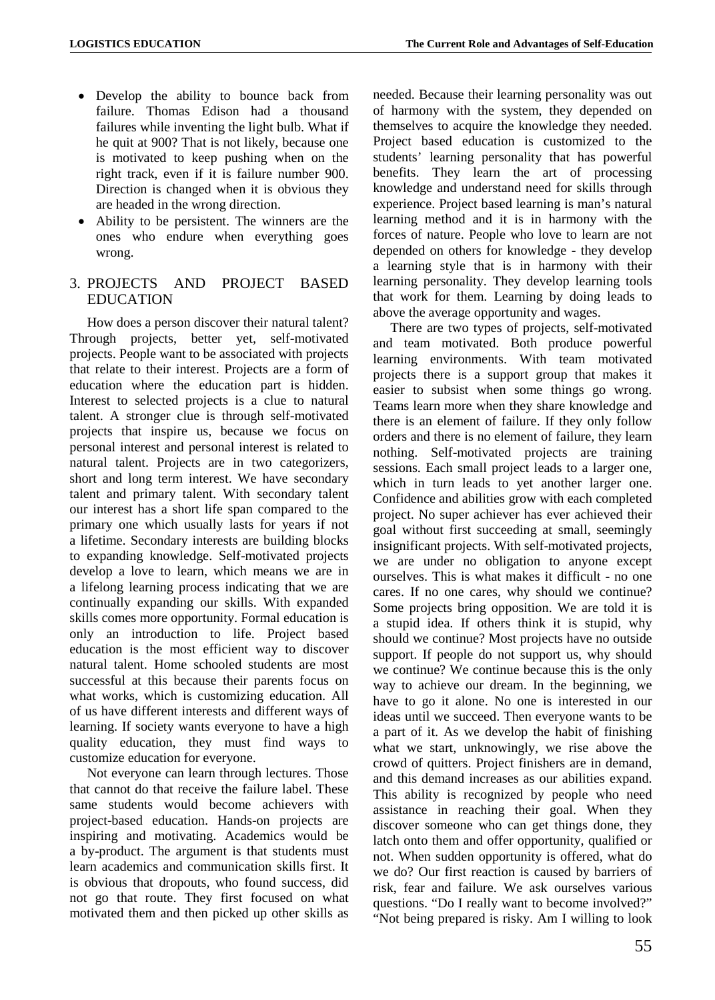- Develop the ability to bounce back from failure. Thomas Edison had a thousand failures while inventing the light bulb. What if he quit at 900? That is not likely, because one is motivated to keep pushing when on the right track, even if it is failure number 900. Direction is changed when it is obvious they are headed in the wrong direction.
- Ability to be persistent. The winners are the ones who endure when everything goes wrong.

## 3. PROJECTS AND PROJECT BASED **EDUCATION**

How does a person discover their natural talent? Through projects, better yet, self-motivated projects. People want to be associated with projects that relate to their interest. Projects are a form of education where the education part is hidden. Interest to selected projects is a clue to natural talent. A stronger clue is through self-motivated projects that inspire us, because we focus on personal interest and personal interest is related to natural talent. Projects are in two categorizers, short and long term interest. We have secondary talent and primary talent. With secondary talent our interest has a short life span compared to the primary one which usually lasts for years if not a lifetime. Secondary interests are building blocks to expanding knowledge. Self-motivated projects develop a love to learn, which means we are in a lifelong learning process indicating that we are continually expanding our skills. With expanded skills comes more opportunity. Formal education is only an introduction to life. Project based education is the most efficient way to discover natural talent. Home schooled students are most successful at this because their parents focus on what works, which is customizing education. All of us have different interests and different ways of learning. If society wants everyone to have a high quality education, they must find ways to customize education for everyone.

Not everyone can learn through lectures. Those that cannot do that receive the failure label. These same students would become achievers with project-based education. Hands-on projects are inspiring and motivating. Academics would be a by-product. The argument is that students must learn academics and communication skills first. It is obvious that dropouts, who found success, did not go that route. They first focused on what motivated them and then picked up other skills as

needed. Because their learning personality was out of harmony with the system, they depended on themselves to acquire the knowledge they needed. Project based education is customized to the students' learning personality that has powerful benefits. They learn the art of processing knowledge and understand need for skills through experience. Project based learning is man's natural learning method and it is in harmony with the forces of nature. People who love to learn are not depended on others for knowledge - they develop a learning style that is in harmony with their learning personality. They develop learning tools that work for them. Learning by doing leads to above the average opportunity and wages.

There are two types of projects, self-motivated and team motivated. Both produce powerful learning environments. With team motivated projects there is a support group that makes it easier to subsist when some things go wrong. Teams learn more when they share knowledge and there is an element of failure. If they only follow orders and there is no element of failure, they learn nothing. Self-motivated projects are training sessions. Each small project leads to a larger one, which in turn leads to yet another larger one. Confidence and abilities grow with each completed project. No super achiever has ever achieved their goal without first succeeding at small, seemingly insignificant projects. With self-motivated projects, we are under no obligation to anyone except ourselves. This is what makes it difficult - no one cares. If no one cares, why should we continue? Some projects bring opposition. We are told it is a stupid idea. If others think it is stupid, why should we continue? Most projects have no outside support. If people do not support us, why should we continue? We continue because this is the only way to achieve our dream. In the beginning, we have to go it alone. No one is interested in our ideas until we succeed. Then everyone wants to be a part of it. As we develop the habit of finishing what we start, unknowingly, we rise above the crowd of quitters. Project finishers are in demand, and this demand increases as our abilities expand. This ability is recognized by people who need assistance in reaching their goal. When they discover someone who can get things done, they latch onto them and offer opportunity, qualified or not. When sudden opportunity is offered, what do we do? Our first reaction is caused by barriers of risk, fear and failure. We ask ourselves various questions. "Do I really want to become involved?" "Not being prepared is risky. Am I willing to look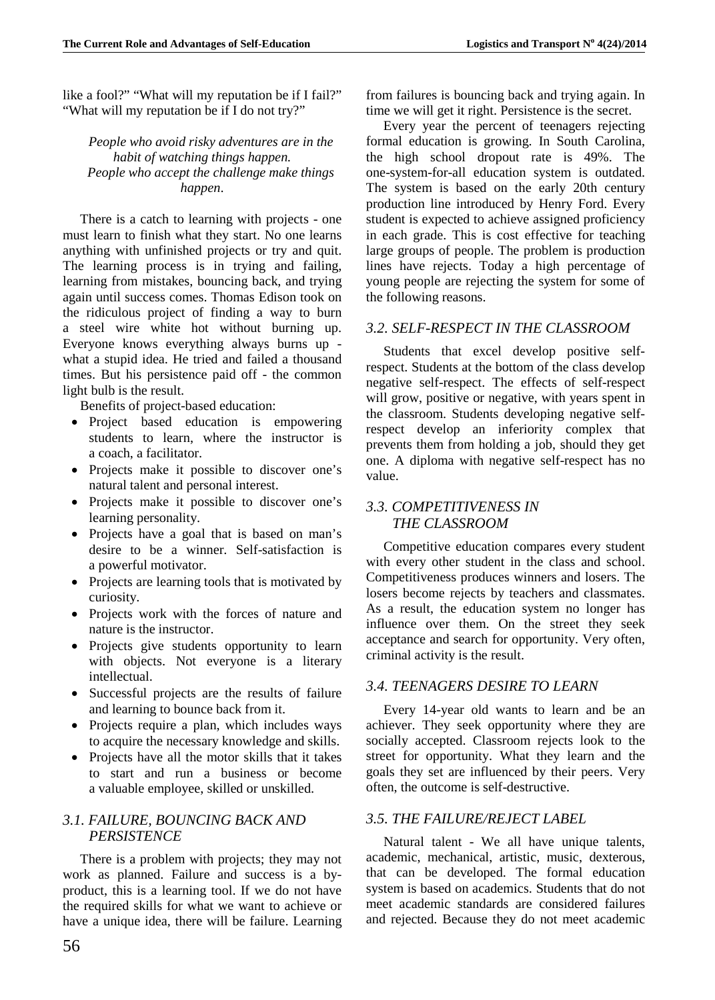like a fool?" "What will my reputation be if I fail?" "What will my reputation be if I do not try?"

*People who avoid risky adventures are in the habit of watching things happen. People who accept the challenge make things happen*.

There is a catch to learning with projects - one must learn to finish what they start. No one learns anything with unfinished projects or try and quit. The learning process is in trying and failing, learning from mistakes, bouncing back, and trying again until success comes. Thomas Edison took on the ridiculous project of finding a way to burn a steel wire white hot without burning up. Everyone knows everything always burns up what a stupid idea. He tried and failed a thousand times. But his persistence paid off - the common light bulb is the result.

Benefits of project-based education:

- Project based education is empowering students to learn, where the instructor is a coach, a facilitator.
- Projects make it possible to discover one's natural talent and personal interest.
- Projects make it possible to discover one's learning personality.
- Projects have a goal that is based on man's desire to be a winner. Self-satisfaction is a powerful motivator.
- Projects are learning tools that is motivated by curiosity.
- Projects work with the forces of nature and nature is the instructor.
- Projects give students opportunity to learn with objects. Not everyone is a literary intellectual.
- Successful projects are the results of failure and learning to bounce back from it.
- Projects require a plan, which includes ways to acquire the necessary knowledge and skills.
- Projects have all the motor skills that it takes to start and run a business or become a valuable employee, skilled or unskilled.

## *3.1. FAILURE, BOUNCING BACK AND PERSISTENCE*

There is a problem with projects; they may not work as planned. Failure and success is a byproduct, this is a learning tool. If we do not have the required skills for what we want to achieve or have a unique idea, there will be failure. Learning from failures is bouncing back and trying again. In time we will get it right. Persistence is the secret.

Every year the percent of teenagers rejecting formal education is growing. In South Carolina, the high school dropout rate is 49%. The one-system-for-all education system is outdated. The system is based on the early 20th century production line introduced by Henry Ford. Every student is expected to achieve assigned proficiency in each grade. This is cost effective for teaching large groups of people. The problem is production lines have rejects. Today a high percentage of young people are rejecting the system for some of the following reasons.

## *3.2. SELF-RESPECT IN THE CLASSROOM*

Students that excel develop positive selfrespect. Students at the bottom of the class develop negative self-respect. The effects of self-respect will grow, positive or negative, with years spent in the classroom. Students developing negative selfrespect develop an inferiority complex that prevents them from holding a job, should they get one. A diploma with negative self-respect has no value.

## *3.3. COMPETITIVENESS IN THE CLASSROOM*

Competitive education compares every student with every other student in the class and school. Competitiveness produces winners and losers. The losers become rejects by teachers and classmates. As a result, the education system no longer has influence over them. On the street they seek acceptance and search for opportunity. Very often, criminal activity is the result.

## *3.4. TEENAGERS DESIRE TO LEARN*

Every 14-year old wants to learn and be an achiever. They seek opportunity where they are socially accepted. Classroom rejects look to the street for opportunity. What they learn and the goals they set are influenced by their peers. Very often, the outcome is self-destructive.

## *3.5. THE FAILURE/REJECT LABEL*

Natural talent - We all have unique talents, academic, mechanical, artistic, music, dexterous, that can be developed. The formal education system is based on academics. Students that do not meet academic standards are considered failures and rejected. Because they do not meet academic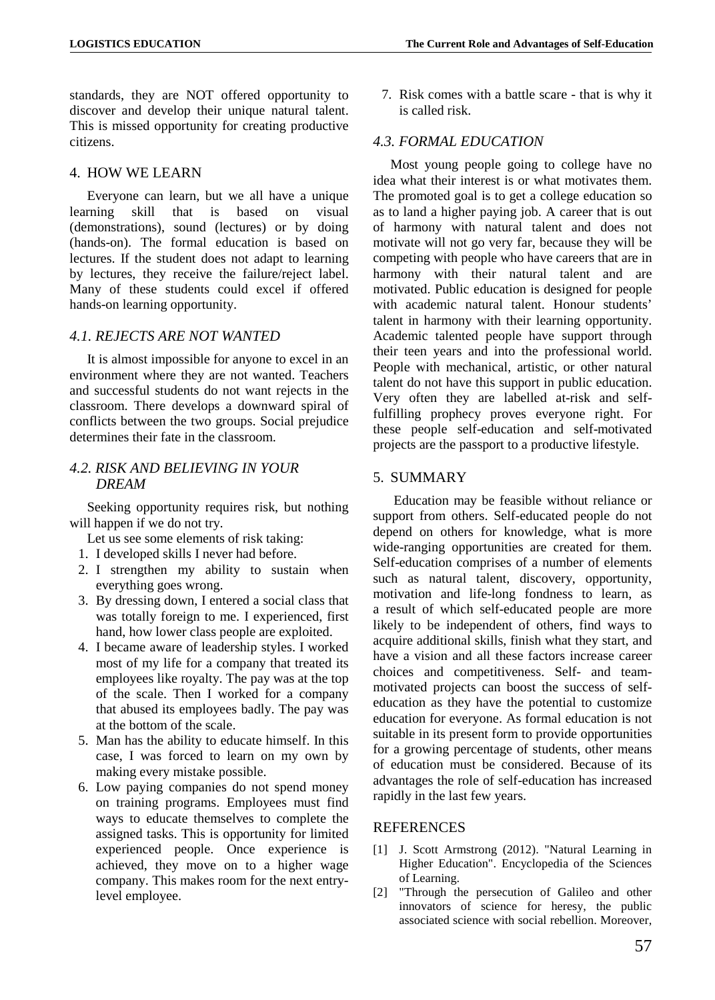standards, they are NOT offered opportunity to discover and develop their unique natural talent. This is missed opportunity for creating productive citizens.

#### 4. HOW WE LEARN

Everyone can learn, but we all have a unique<br>
rning skill that is based on visual learning skill that is based on visual (demonstrations), sound (lectures) or by doing (hands-on). The formal education is based on lectures. If the student does not adapt to learning by lectures, they receive the failure/reject label. Many of these students could excel if offered hands-on learning opportunity.

#### *4.1. REJECTS ARE NOT WANTED*

It is almost impossible for anyone to excel in an environment where they are not wanted. Teachers and successful students do not want rejects in the classroom. There develops a downward spiral of conflicts between the two groups. Social prejudice determines their fate in the classroom.

## *4.2. RISK AND BELIEVING IN YOUR DREAM*

Seeking opportunity requires risk, but nothing will happen if we do not try.

- Let us see some elements of risk taking:
- 1. I developed skills I never had before.
- 2. I strengthen my ability to sustain when everything goes wrong.
- 3. By dressing down, I entered a social class that was totally foreign to me. I experienced, first hand, how lower class people are exploited.
- 4. I became aware of leadership styles. I worked most of my life for a company that treated its employees like royalty. The pay was at the top of the scale. Then I worked for a company that abused its employees badly. The pay was at the bottom of the scale.
- 5. Man has the ability to educate himself. In this case, I was forced to learn on my own by making every mistake possible.
- 6. Low paying companies do not spend money on training programs. Employees must find ways to educate themselves to complete the assigned tasks. This is opportunity for limited experienced people. Once experience is achieved, they move on to a higher wage company. This makes room for the next entrylevel employee.

7. Risk comes with a battle scare - that is why it is called risk.

#### *4.3. FORMAL EDUCATION*

Most young people going to college have no idea what their interest is or what motivates them. The promoted goal is to get a college education so as to land a higher paying job. A career that is out of harmony with natural talent and does not motivate will not go very far, because they will be competing with people who have careers that are in harmony with their natural talent and are motivated. Public education is designed for people with academic natural talent. Honour students' talent in harmony with their learning opportunity. Academic talented people have support through their teen years and into the professional world. People with mechanical, artistic, or other natural talent do not have this support in public education. Very often they are labelled at-risk and selffulfilling prophecy proves everyone right. For these people self-education and self-motivated projects are the passport to a productive lifestyle.

#### 5. SUMMARY

Education may be feasible without reliance or support from others. Self-educated people do not depend on others for knowledge, what is more wide-ranging opportunities are created for them. Self-education comprises of a number of elements such as natural talent, discovery, opportunity, motivation and life-long fondness to learn, as a result of which self-educated people are more likely to be independent of others, find ways to acquire additional skills, finish what they start, and have a vision and all these factors increase career choices and competitiveness. Self- and teammotivated projects can boost the success of selfeducation as they have the potential to customize education for everyone. As formal education is not suitable in its present form to provide opportunities for a growing percentage of students, other means of education must be considered. Because of its advantages the role of self-education has increased rapidly in the last few years.

#### **REFERENCES**

- [1] J. Scott Armstrong (2012). ["Natural Learning in](https://marketing.wharton.upenn.edu/files/?whdmsaction=public:main.file&fileID=3459)  [Higher Education".](https://marketing.wharton.upenn.edu/files/?whdmsaction=public:main.file&fileID=3459) Encyclopedia of the Sciences of Learning.
- [2] "Through the persecution of Galileo and other innovators of science for heresy, the public associated science with social rebellion. Moreover,